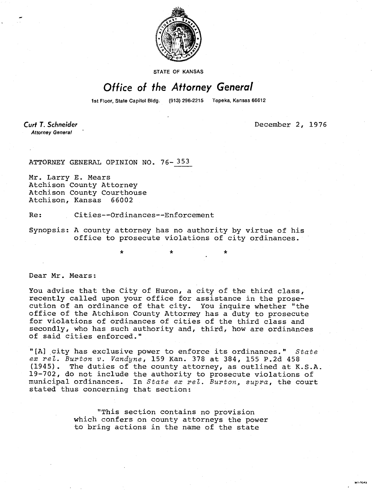

STATE OF KANSAS

## Office of the Attorney General

1st Floor, State Capitol Bldg. (913) 296-2215 Topeka, Kansas 66612

Curt T. Schneider **Attorney General** 

December 2, 1976

ATTORNEY GENERAL OPINION NO. 76-353

Mr. Larry E. Mears Atchison County Attorney Atchison County Courthouse Atchison, Kansas 66002

Re: Cities--Ordinances--Enforcement

Synopsis: A county attorney has no authority by virtue of his office to prosecute violations of city ordinances.

Dear Mr. Mears:

You advise that the City of Huron, a city of the third class, recently called upon your office for assistance in the prosecution of an ordinance of that city. You inquire whether "the office of the Atchison County Attorney has a duty to prosecute for violations of ordinances of cities of the third class and secondly, who has such authority and, third, how are ordinances of said cities enforced."

"[A] city has exclusive power to enforce its ordinances." State ex rel. Burton v. Vandyne, 159 Kan. 378 at 384, 155 P.2d 458 (1945). The duties of the county attorney, as outlined at K.S.A. 19-702, do not include the authority to prosecute violations of municipal ordinances. In State ex rel. Burton, supra, the court stated thus concerning that section:

> "This section contains no provision which confers on county attorneys the power to bring actions in the name of the state